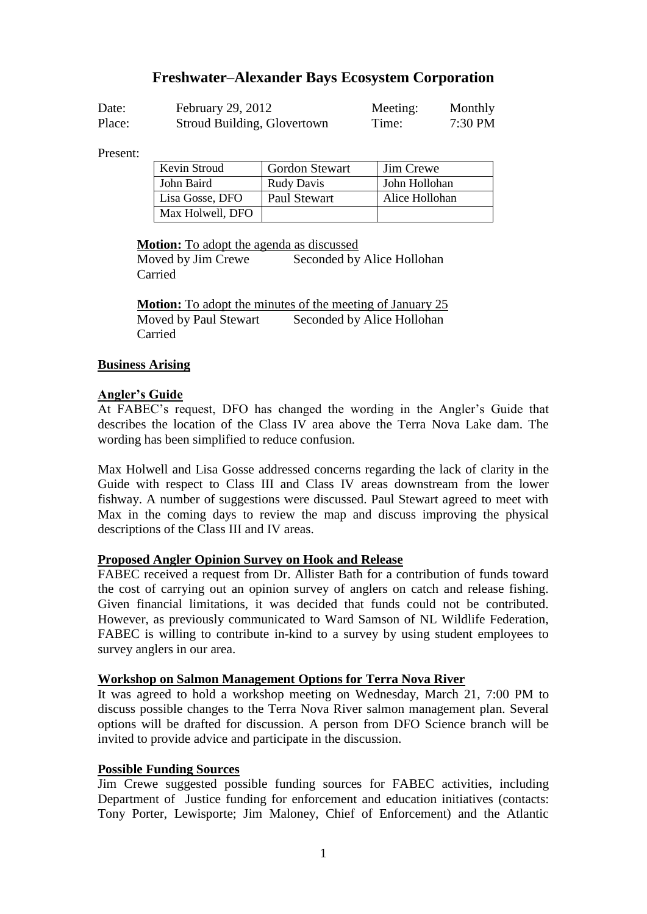# **Freshwater–Alexander Bays Ecosystem Corporation**

| Date:  | February 29, 2012           | Meeting: | Monthly   |
|--------|-----------------------------|----------|-----------|
| Place: | Stroud Building, Glovertown | Time:    | $7:30$ PM |

Present:

| Kevin Stroud     | <b>Gordon Stewart</b> | Jim Crewe      |
|------------------|-----------------------|----------------|
| John Baird       | <b>Rudy Davis</b>     | John Hollohan  |
| Lisa Gosse, DFO  | <b>Paul Stewart</b>   | Alice Hollohan |
| Max Holwell, DFO |                       |                |

**Motion:** To adopt the agenda as discussed

Moved by Jim Crewe Seconded by Alice Hollohan Carried

**Motion:** To adopt the minutes of the meeting of January 25 Moved by Paul Stewart Seconded by Alice Hollohan Carried

# **Business Arising**

# **Angler's Guide**

At FABEC's request, DFO has changed the wording in the Angler's Guide that describes the location of the Class IV area above the Terra Nova Lake dam. The wording has been simplified to reduce confusion.

Max Holwell and Lisa Gosse addressed concerns regarding the lack of clarity in the Guide with respect to Class III and Class IV areas downstream from the lower fishway. A number of suggestions were discussed. Paul Stewart agreed to meet with Max in the coming days to review the map and discuss improving the physical descriptions of the Class III and IV areas.

# **Proposed Angler Opinion Survey on Hook and Release**

FABEC received a request from Dr. Allister Bath for a contribution of funds toward the cost of carrying out an opinion survey of anglers on catch and release fishing. Given financial limitations, it was decided that funds could not be contributed. However, as previously communicated to Ward Samson of NL Wildlife Federation, FABEC is willing to contribute in-kind to a survey by using student employees to survey anglers in our area.

# **Workshop on Salmon Management Options for Terra Nova River**

It was agreed to hold a workshop meeting on Wednesday, March 21, 7:00 PM to discuss possible changes to the Terra Nova River salmon management plan. Several options will be drafted for discussion. A person from DFO Science branch will be invited to provide advice and participate in the discussion.

# **Possible Funding Sources**

Jim Crewe suggested possible funding sources for FABEC activities, including Department of Justice funding for enforcement and education initiatives (contacts: Tony Porter, Lewisporte; Jim Maloney, Chief of Enforcement) and the Atlantic